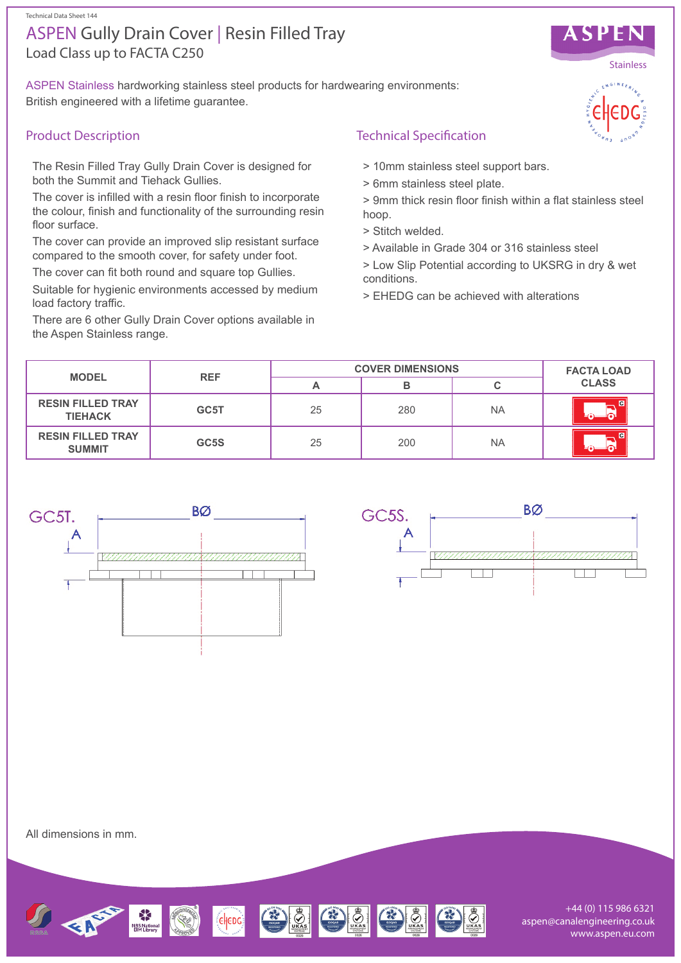#### Technical Data Sheet 144

# Load Class up to FACTA C250 ASPEN Gully Drain Cover | Resin Filled Tray

ASPEN Stainless hardworking stainless steel products for hardwearing environments: British engineered with a lifetime guarantee.

## Product Description

The Resin Filled Tray Gully Drain Cover is designed for both the Summit and Tiehack Gullies.

The cover is infilled with a resin floor finish to incorporate the colour, finish and functionality of the surrounding resin floor surface.

The cover can provide an improved slip resistant surface compared to the smooth cover, for safety under foot.

The cover can fit both round and square top Gullies.

Suitable for hygienic environments accessed by medium load factory traffic.

There are 6 other Gully Drain Cover options available in the Aspen Stainless range.

## Technical Specification

- > 10mm stainless steel support bars.
- > 6mm stainless steel plate.

> 9mm thick resin floor finish within a flat stainless steel hoop.

- > Stitch welded.
- > Available in Grade 304 or 316 stainless steel

> Low Slip Potential according to UKSRG in dry & wet conditions.

> EHEDG can be achieved with alterations

| <b>MODEL</b>                               | <b>REF</b> | <b>COVER DIMENSIONS</b> |     |           | <b>FACTA LOAD</b>                       |
|--------------------------------------------|------------|-------------------------|-----|-----------|-----------------------------------------|
|                                            |            | A                       |     |           | <b>CLASS</b>                            |
| <b>RESIN FILLED TRAY</b><br><b>TIEHACK</b> | GC5T       | 25                      | 280 | <b>NA</b> | $\blacksquare$<br>டவ                    |
| <b>RESIN FILLED TRAY</b><br><b>SUMMIT</b>  | GC5S       | 25                      | 200 | <b>NA</b> | $\overline{c}$<br>⊥ন∗<br>$\blacksquare$ |



**BØ** GC<sub>5</sub>S.

All dimensions in mm.



+44 (0) 115 986 6321 aspen@canalengineering.co.uk www.aspen.eu.com